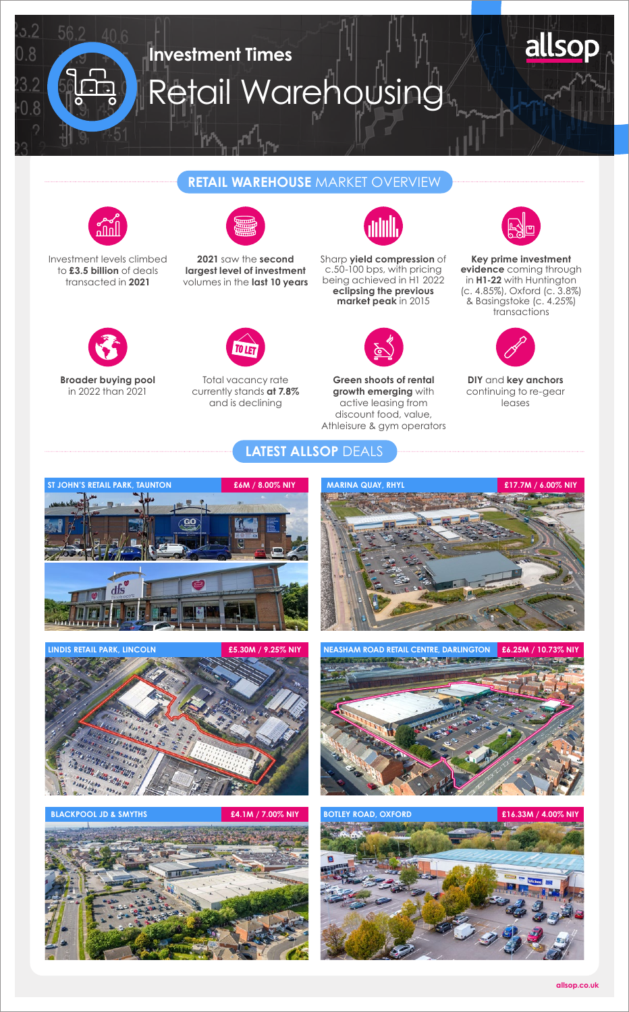

## **RETAIL WAREHOUSE** MARKET OVERVIEW



Investment levels climbed to **£3.5 billion** of deals transacted in **2021**

> **Broader buying pool**  in 2022 than 2021



**2021** saw the **second largest level of investment** volumes in the **last 10 years**



Total vacancy rate currently stands **at 7.8%**  and is declining



Sharp **yield compression** of c.50-100 bps, with pricing being achieved in H1 2022 **eclipsing the previous market peak** in 2015



**Green shoots of rental growth emerging** with active leasing from discount food, value, Athleisure & gym operators



**Key prime investment evidence** coming through in **H1-22** with Huntington (c. 4.85%), Oxford (c. 3.8%) & Basingstoke (c. 4.25%) transactions



**DIY** and **key anchors** continuing to re-gear leases







**BLACKPOOL JD & SMYTHS £4.1M / 7.00% NIY**